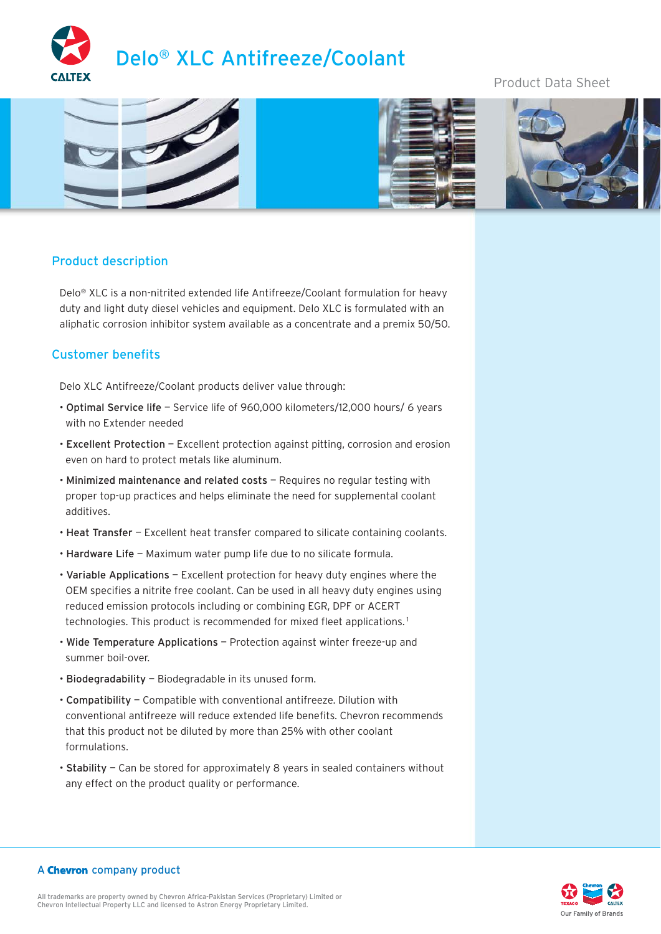

# Product Data Sheet



# Product description

Delo® XLC is a non-nitrited extended life Antifreeze/Coolant formulation for heavy duty and light duty diesel vehicles and equipment. Delo XLC is formulated with an aliphatic corrosion inhibitor system available as a concentrate and a premix 50/50.

#### Customer benefits

Delo XLC Antifreeze/Coolant products deliver value through:

- Optimal Service life Service life of 960,000 kilometers/12,000 hours/ 6 years with no Extender needed
- Excellent Protection Excellent protection against pitting, corrosion and erosion even on hard to protect metals like aluminum.
- Minimized maintenance and related costs Requires no regular testing with proper top-up practices and helps eliminate the need for supplemental coolant additives.
- Heat Transfer Excellent heat transfer compared to silicate containing coolants.
- Hardware Life Maximum water pump life due to no silicate formula.
- Variable Applications Excellent protection for heavy duty engines where the OEM specifies a nitrite free coolant. Can be used in all heavy duty engines using reduced emission protocols including or combining EGR, DPF or ACERT technologies. This product is recommended for mixed fleet applications.<sup>1</sup>
- Wide Temperature Applications Protection against winter freeze-up and summer boil-over.
- Biodegradability Biodegradable in its unused form.
- Compatibility Compatible with conventional antifreeze. Dilution with conventional antifreeze will reduce extended life benefits. Chevron recommends that this product not be diluted by more than 25% with other coolant formulations.
- Stability Can be stored for approximately 8 years in sealed containers without any effect on the product quality or performance.

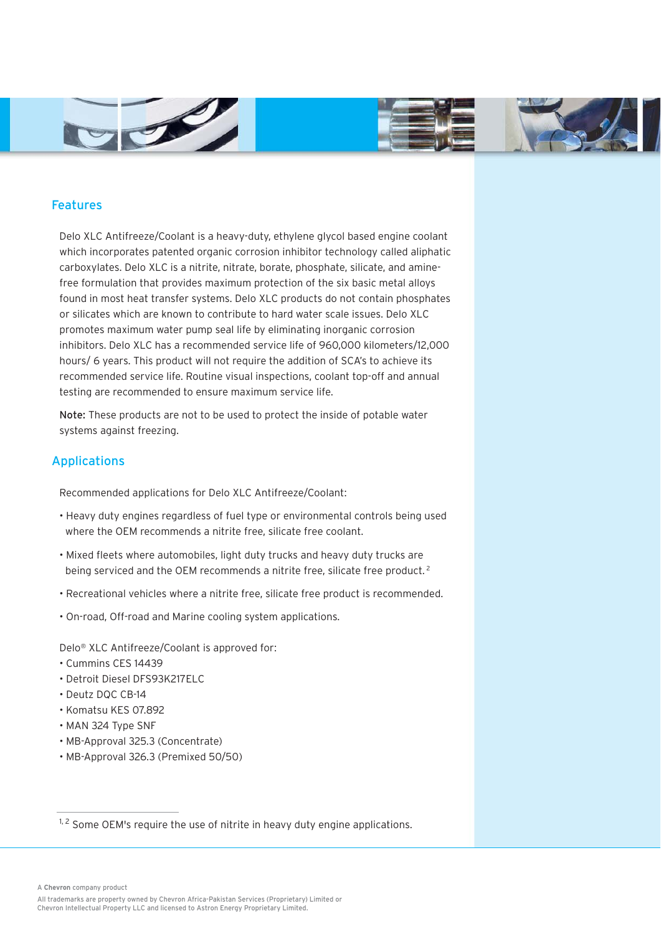



## Features

Delo XLC Antifreeze/Coolant is a heavy-duty, ethylene glycol based engine coolant which incorporates patented organic corrosion inhibitor technology called aliphatic carboxylates. Delo XLC is a nitrite, nitrate, borate, phosphate, silicate, and aminefree formulation that provides maximum protection of the six basic metal alloys found in most heat transfer systems. Delo XLC products do not contain phosphates or silicates which are known to contribute to hard water scale issues. Delo XLC promotes maximum water pump seal life by eliminating inorganic corrosion inhibitors. Delo XLC has a recommended service life of 960,000 kilometers/12,000 hours/ 6 years. This product will not require the addition of SCA's to achieve its recommended service life. Routine visual inspections, coolant top-off and annual testing are recommended to ensure maximum service life.

Note: These products are not to be used to protect the inside of potable water systems against freezing.

## Applications

Recommended applications for Delo XLC Antifreeze/Coolant:

- Heavy duty engines regardless of fuel type or environmental controls being used where the OEM recommends a nitrite free, silicate free coolant.
- Mixed fleets where automobiles, light duty trucks and heavy duty trucks are being serviced and the OEM recommends a nitrite free, silicate free product.<sup>2</sup>
- Recreational vehicles where a nitrite free, silicate free product is recommended.
- On-road, Off-road and Marine cooling system applications.

Delo® XLC Antifreeze/Coolant is approved for:

- Cummins CES 14439
- Detroit Diesel DFS93K217ELC
- Deutz DQC CB-14
- Komatsu KES 07.892
- MAN 324 Type SNF
- MB-Approval 325.3 (Concentrate)
- MB-Approval 326.3 (Premixed 50/50)

A **Chevron** company product

All trademarks are property owned by Chevron Africa-Pakistan Services (Proprietary) Limited or Chevron Intellectual Property LLC and licensed to Astron Energy Proprietary Limited.

 $1, 2$  Some OEM's require the use of nitrite in heavy duty engine applications.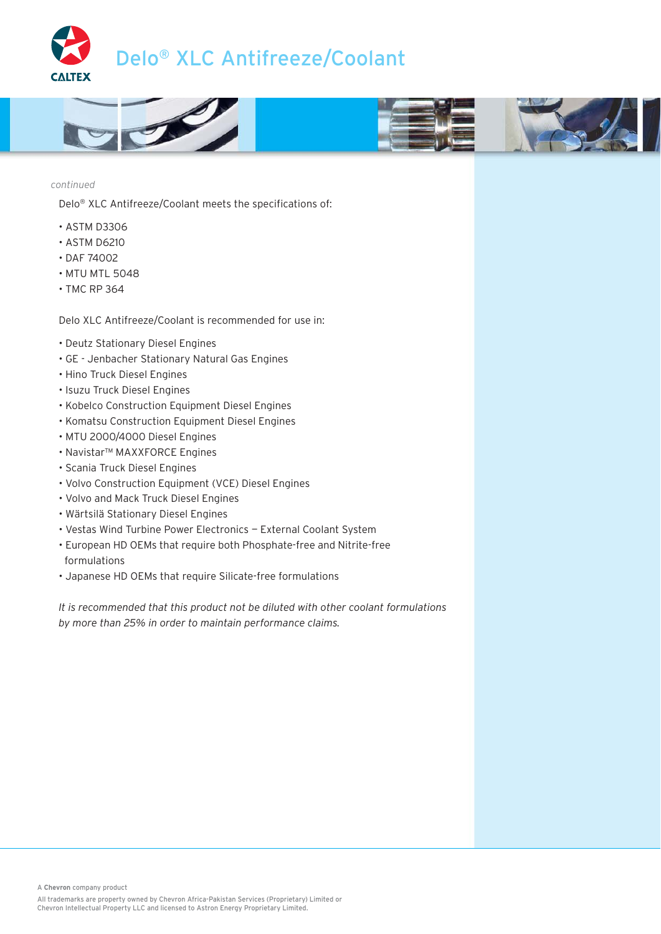



*continued*

Delo® XLC Antifreeze/Coolant meets the specifications of:

- ASTM D3306
- ASTM D6210
- DAF 74002
- MTU MTL 5048
- TMC RP 364

Delo XLC Antifreeze/Coolant is recommended for use in:

- Deutz Stationary Diesel Engines
- GE Jenbacher Stationary Natural Gas Engines
- Hino Truck Diesel Engines
- Isuzu Truck Diesel Engines
- Kobelco Construction Equipment Diesel Engines
- Komatsu Construction Equipment Diesel Engines
- MTU 2000/4000 Diesel Engines
- Navistar™ MAXXFORCE Engines
- Scania Truck Diesel Engines
- Volvo Construction Equipment (VCE) Diesel Engines
- Volvo and Mack Truck Diesel Engines
- Wärtsilä Stationary Diesel Engines
- Vestas Wind Turbine Power Electronics External Coolant System
- European HD OEMs that require both Phosphate-free and Nitrite-free formulations
- Japanese HD OEMs that require Silicate-free formulations

*It is recommended that this product not be diluted with other coolant formulations by more than 25% in order to maintain performance claims.*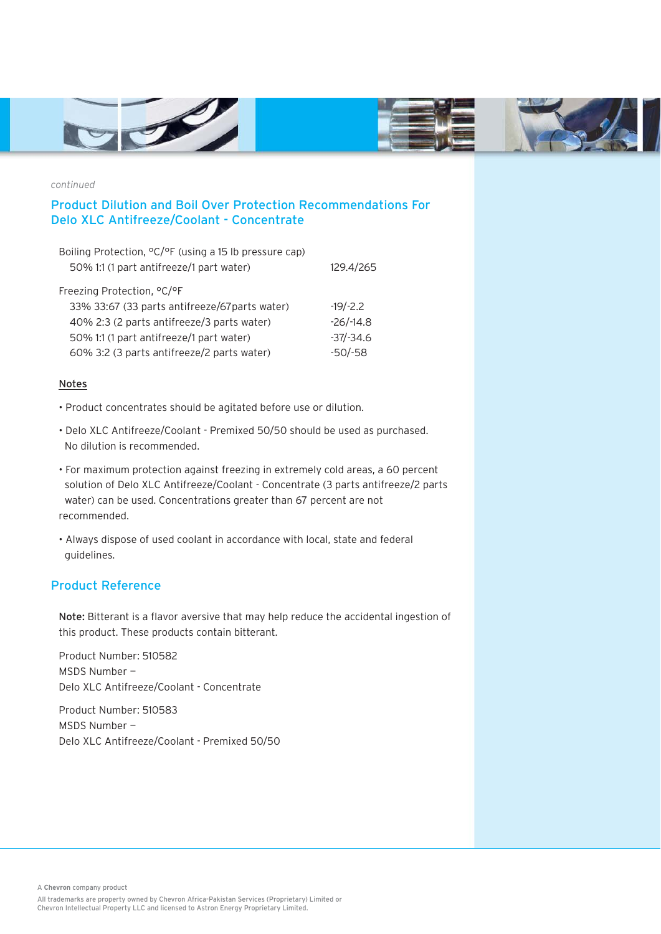



*continued*

# Product Dilution and Boil Over Protection Recommendations For Delo XLC Antifreeze/Coolant - Concentrate

| Boiling Protection, ${}^{\circ}C/{}^{\circ}F$ (using a 15 lb pressure cap) |              |
|----------------------------------------------------------------------------|--------------|
| 50% 1:1 (1 part antifreeze/1 part water)                                   | 129.4/265    |
| Freezing Protection, °C/°F                                                 |              |
| 33% 33:67 (33 parts antifreeze/67 parts water)                             | $-19/-2.2$   |
| 40% 2:3 (2 parts antifreeze/3 parts water)                                 | $-26/ -14.8$ |
| 50% 1:1 (1 part antifreeze/1 part water)                                   | $-37/-34.6$  |
| 60% 3:2 (3 parts antifreeze/2 parts water)                                 | $-50/-58$    |

#### Notes

- Product concentrates should be agitated before use or dilution.
- Delo XLC Antifreeze/Coolant Premixed 50/50 should be used as purchased. No dilution is recommended.
- For maximum protection against freezing in extremely cold areas, a 60 percent solution of Delo XLC Antifreeze/Coolant - Concentrate (3 parts antifreeze/2 parts water) can be used. Concentrations greater than 67 percent are not recommended.
- Always dispose of used coolant in accordance with local, state and federal guidelines.

### Product Reference

Note: Bitterant is a flavor aversive that may help reduce the accidental ingestion of this product. These products contain bitterant.

Product Number: 510582 MSDS Number — Delo XLC Antifreeze/Coolant - Concentrate

Product Number: 510583 MSDS Number — Delo XLC Antifreeze/Coolant - Premixed 50/50